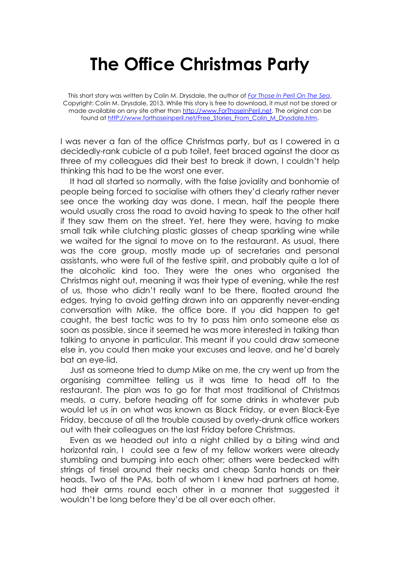## **The Office Christmas Party**

This short story was written by Colin M. Drysdale, the author of *[For Those In Peril On The Sea](http://www.forthoseinperil.net/)*. Copyright: Colin M. Drysdale, 2013. While this story is free to download, it must not be stored or made available on any site other than [http://www.ForThoseInPeril.net.](http://www.forthoseinperil.net/) The original can be found a[t httP://www.forthoseinperil.net/Free\\_Stories\\_From\\_Colin\\_M\\_Drysdale.htm.](http://www.forthoseinperil.net/Free_Stories_From_Colin_M_Drysdale.htm)

I was never a fan of the office Christmas party, but as I cowered in a decidedly-rank cubicle of a pub toilet, feet braced against the door as three of my colleagues did their best to break it down, I couldn't help thinking this had to be the worst one ever.

It had all started so normally, with the false joviality and bonhomie of people being forced to socialise with others they'd clearly rather never see once the working day was done. I mean, half the people there would usually cross the road to avoid having to speak to the other half if they saw them on the street. Yet, here they were, having to make small talk while clutching plastic glasses of cheap sparkling wine while we waited for the signal to move on to the restaurant. As usual, there was the core group, mostly made up of secretaries and personal assistants, who were full of the festive spirit, and probably quite a lot of the alcoholic kind too. They were the ones who organised the Christmas night out, meaning it was their type of evening, while the rest of us, those who didn't really want to be there, floated around the edges, trying to avoid getting drawn into an apparently never-ending conversation with Mike, the office bore. If you did happen to get caught, the best tactic was to try to pass him onto someone else as soon as possible, since it seemed he was more interested in talking than talking to anyone in particular. This meant if you could draw someone else in, you could then make your excuses and leave, and he'd barely bat an eye-lid.

Just as someone tried to dump Mike on me, the cry went up from the organising committee telling us it was time to head off to the restaurant. The plan was to go for that most traditional of Christmas meals, a curry, before heading off for some drinks in whatever pub would let us in on what was known as Black Friday, or even Black-Eye Friday, because of all the trouble caused by overly-drunk office workers out with their colleagues on the last Friday before Christmas.

Even as we headed out into a night chilled by a biting wind and horizontal rain, I could see a few of my fellow workers were already stumbling and bumping into each other; others were bedecked with strings of tinsel around their necks and cheap Santa hands on their heads. Two of the PAs, both of whom I knew had partners at home, had their arms round each other in a manner that suggested it wouldn't be long before they'd be all over each other.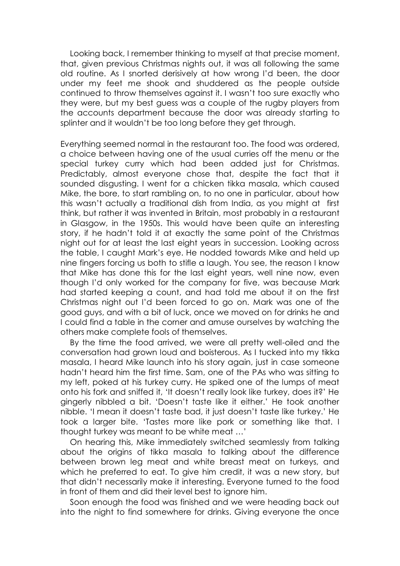Looking back, I remember thinking to myself at that precise moment, that, given previous Christmas nights out, it was all following the same old routine. As I snorted derisively at how wrong I'd been, the door under my feet me shook and shuddered as the people outside continued to throw themselves against it. I wasn't too sure exactly who they were, but my best guess was a couple of the rugby players from the accounts department because the door was already starting to splinter and it wouldn't be too long before they get through.

Everything seemed normal in the restaurant too. The food was ordered, a choice between having one of the usual curries off the menu or the special turkey curry which had been added just for Christmas. Predictably, almost everyone chose that, despite the fact that it sounded disgusting. I went for a chicken tikka masala, which caused Mike, the bore, to start rambling on, to no one in particular, about how this wasn't actually a traditional dish from India, as you might at first think, but rather it was invented in Britain, most probably in a restaurant in Glasgow, in the 1950s. This would have been quite an interesting story, if he hadn't told it at exactly the same point of the Christmas night out for at least the last eight years in succession. Looking across the table, I caught Mark's eye. He nodded towards Mike and held up nine fingers forcing us both to stifle a laugh. You see, the reason I know that Mike has done this for the last eight years, well nine now, even though I'd only worked for the company for five, was because Mark had started keeping a count, and had told me about it on the first Christmas night out I'd been forced to go on. Mark was one of the good guys, and with a bit of luck, once we moved on for drinks he and I could find a table in the corner and amuse ourselves by watching the others make complete fools of themselves.

By the time the food arrived, we were all pretty well-oiled and the conversation had grown loud and boisterous. As I tucked into my tikka masala, I heard Mike launch into his story again, just in case someone hadn't heard him the first time. Sam, one of the PAs who was sitting to my left, poked at his turkey curry. He spiked one of the lumps of meat onto his fork and sniffed it, 'It doesn't really look like turkey, does it?' He gingerly nibbled a bit. 'Doesn't taste like it either.' He took another nibble. 'I mean it doesn't taste bad, it just doesn't taste like turkey.' He took a larger bite. 'Tastes more like pork or something like that. I thought turkey was meant to be white meat …'

On hearing this, Mike immediately switched seamlessly from talking about the origins of tikka masala to talking about the difference between brown leg meat and white breast meat on turkeys, and which he preferred to eat. To give him credit, it was a new story, but that didn't necessarily make it interesting. Everyone turned to the food in front of them and did their level best to ignore him.

Soon enough the food was finished and we were heading back out into the night to find somewhere for drinks. Giving everyone the once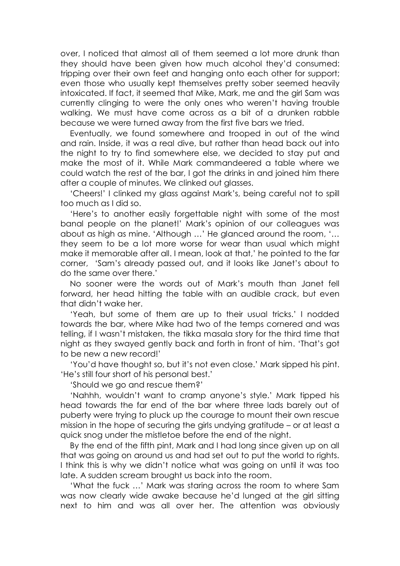over, I noticed that almost all of them seemed a lot more drunk than they should have been given how much alcohol they'd consumed: tripping over their own feet and hanging onto each other for support; even those who usually kept themselves pretty sober seemed heavily intoxicated. If fact, it seemed that Mike, Mark, me and the girl Sam was currently clinging to were the only ones who weren't having trouble walking. We must have come across as a bit of a drunken rabble because we were turned away from the first five bars we tried.

Eventually, we found somewhere and trooped in out of the wind and rain. Inside, it was a real dive, but rather than head back out into the night to try to find somewhere else, we decided to stay put and make the most of it. While Mark commandeered a table where we could watch the rest of the bar, I got the drinks in and joined him there after a couple of minutes. We clinked out glasses.

'Cheers!' I clinked my glass against Mark's, being careful not to spill too much as I did so.

'Here's to another easily forgettable night with some of the most banal people on the planet!' Mark's opinion of our colleagues was about as high as mine. 'Although …' He glanced around the room, '… they seem to be a lot more worse for wear than usual which might make it memorable after all. I mean, look at that,' he pointed to the far corner, 'Sam's already passed out, and it looks like Janet's about to do the same over there.'

No sooner were the words out of Mark's mouth than Janet fell forward, her head hitting the table with an audible crack, but even that didn't wake her.

'Yeah, but some of them are up to their usual tricks.' I nodded towards the bar, where Mike had two of the temps cornered and was telling, if I wasn't mistaken, the tikka masala story for the third time that night as they swayed gently back and forth in front of him. 'That's got to be new a new record!'

'You'd have thought so, but it's not even close.' Mark sipped his pint. 'He's still four short of his personal best.'

'Should we go and rescue them?'

'Nahhh, wouldn't want to cramp anyone's style.' Mark tipped his head towards the far end of the bar where three lads barely out of puberty were trying to pluck up the courage to mount their own rescue mission in the hope of securing the girls undying gratitude – or at least a quick snog under the mistletoe before the end of the night.

By the end of the fifth pint, Mark and I had long since given up on all that was going on around us and had set out to put the world to rights. I think this is why we didn't notice what was going on until it was too late. A sudden scream brought us back into the room.

'What the fuck …' Mark was staring across the room to where Sam was now clearly wide awake because he'd lunged at the girl sitting next to him and was all over her. The attention was obviously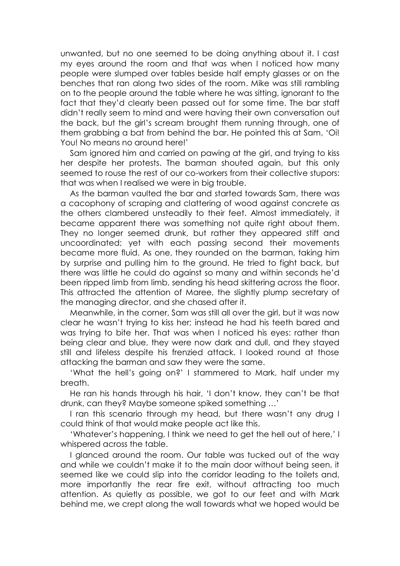unwanted, but no one seemed to be doing anything about it. I cast my eyes around the room and that was when I noticed how many people were slumped over tables beside half empty glasses or on the benches that ran along two sides of the room. Mike was still rambling on to the people around the table where he was sitting, ignorant to the fact that they'd clearly been passed out for some time. The bar staff didn't really seem to mind and were having their own conversation out the back, but the girl's scream brought them running through, one of them grabbing a bat from behind the bar. He pointed this at Sam, 'Oi! You! No means no around here!'

Sam ignored him and carried on pawing at the girl, and trying to kiss her despite her protests. The barman shouted again, but this only seemed to rouse the rest of our co-workers from their collective stupors: that was when I realised we were in big trouble.

As the barman vaulted the bar and started towards Sam, there was a cacophony of scraping and clattering of wood against concrete as the others clambered unsteadily to their feet. Almost immediately, it became apparent there was something not quite right about them. They no longer seemed drunk, but rather they appeared stiff and uncoordinated; yet with each passing second their movements became more fluid. As one, they rounded on the barman, taking him by surprise and pulling him to the ground. He tried to fight back, but there was little he could do against so many and within seconds he'd been ripped limb from limb, sending his head skittering across the floor. This attracted the attention of Maree, the slightly plump secretary of the managing director, and she chased after it.

Meanwhile, in the corner, Sam was still all over the girl, but it was now clear he wasn't trying to kiss her; instead he had his teeth bared and was trying to bite her. That was when I noticed his eyes: rather than being clear and blue, they were now dark and dull, and they stayed still and lifeless despite his frenzied attack. I looked round at those attacking the barman and saw they were the same.

'What the hell's going on?' I stammered to Mark, half under my breath.

He ran his hands through his hair, 'I don't know, they can't be that drunk, can they? Maybe someone spiked something …'

I ran this scenario through my head, but there wasn't any drug I could think of that would make people act like this.

'Whatever's happening, I think we need to get the hell out of here,' I whispered across the table.

I glanced around the room. Our table was tucked out of the way and while we couldn't make it to the main door without being seen, it seemed like we could slip into the corridor leading to the toilets and, more importantly the rear fire exit, without attracting too much attention. As quietly as possible, we got to our feet and with Mark behind me, we crept along the wall towards what we hoped would be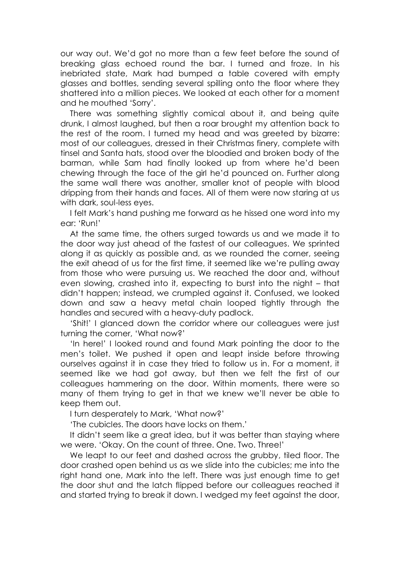our way out. We'd got no more than a few feet before the sound of breaking glass echoed round the bar. I turned and froze. In his inebriated state, Mark had bumped a table covered with empty glasses and bottles, sending several spilling onto the floor where they shattered into a million pieces. We looked at each other for a moment and he mouthed 'Sorry'.

There was something slightly comical about it, and being quite drunk, I almost laughed, but then a roar brought my attention back to the rest of the room. I turned my head and was greeted by bizarre: most of our colleagues, dressed in their Christmas finery, complete with tinsel and Santa hats, stood over the bloodied and broken body of the barman, while Sam had finally looked up from where he'd been chewing through the face of the girl he'd pounced on. Further along the same wall there was another, smaller knot of people with blood dripping from their hands and faces. All of them were now staring at us with dark, soul-less eyes.

I felt Mark's hand pushing me forward as he hissed one word into my ear: 'Run!'

At the same time, the others surged towards us and we made it to the door way just ahead of the fastest of our colleagues. We sprinted along it as quickly as possible and, as we rounded the corner, seeing the exit ahead of us for the first time, it seemed like we're pulling away from those who were pursuing us. We reached the door and, without even slowing, crashed into it, expecting to burst into the night – that didn't happen; instead, we crumpled against it. Confused, we looked down and saw a heavy metal chain looped tightly through the handles and secured with a heavy-duty padlock.

'Shit!' I glanced down the corridor where our colleagues were just turning the corner, 'What now?'

'In here!' I looked round and found Mark pointing the door to the men's toilet. We pushed it open and leapt inside before throwing ourselves against it in case they tried to follow us in. For a moment, it seemed like we had got away, but then we felt the first of our colleagues hammering on the door. Within moments, there were so many of them trying to get in that we knew we'll never be able to keep them out.

I turn desperately to Mark, 'What now?'

'The cubicles. The doors have locks on them.'

It didn't seem like a great idea, but it was better than staying where we were. 'Okay. On the count of three. One. Two. Three!'

We leapt to our feet and dashed across the grubby, tiled floor. The door crashed open behind us as we slide into the cubicles; me into the right hand one, Mark into the left. There was just enough time to get the door shut and the latch flipped before our colleagues reached it and started trying to break it down. I wedged my feet against the door,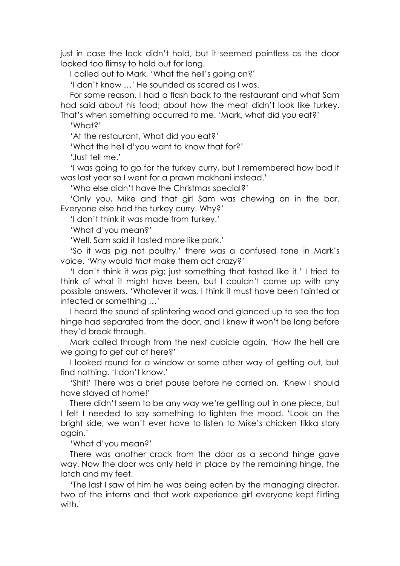just in case the lock didn't hold, but it seemed pointless as the door looked too flimsy to hold out for long.

I called out to Mark, 'What the hell's going on?'

'I don't know …' He sounded as scared as I was.

For some reason, I had a flash back to the restaurant and what Sam had said about his food; about how the meat didn't look like turkey. That's when something occurred to me. 'Mark, what did you eat?'

'What?'

'At the restaurant, What did you eat?'

'What the hell d'you want to know that for?'

'Just tell me.'

'I was going to go for the turkey curry, but I remembered how bad it was last year so I went for a prawn makhani instead.'

'Who else didn't have the Christmas special?'

'Only you, Mike and that girl Sam was chewing on in the bar. Everyone else had the turkey curry. Why?'

'I don't think it was made from turkey.'

'What d'you mean?'

'Well, Sam said it tasted more like pork.'

'So it was pig not poultry,' there was a confused tone in Mark's voice. 'Why would *that* make them act crazy?'

'I don't think it was pig; just something that tasted like it.' I tried to think of what it might have been, but I couldn't come up with any possible answers. 'Whatever it was, I think it must have been tainted or infected or something …'

I heard the sound of splintering wood and glanced up to see the top hinge had separated from the door, and I knew it won't be long before they'd break through.

Mark called through from the next cubicle again, 'How the hell are we going to get out of here?'

I looked round for a window or some other way of getting out, but find nothing. 'I don't know.'

'Shit!' There was a brief pause before he carried on. 'Knew I should have stayed at home!'

There didn't seem to be any way we're getting out in one piece, but I felt I needed to say something to lighten the mood. 'Look on the bright side, we won't ever have to listen to Mike's chicken tikka story again.'

'What d'you mean?'

There was another crack from the door as a second hinge gave way. Now the door was only held in place by the remaining hinge, the latch and my feet.

'The last I saw of him he was being eaten by the managing director, two of the interns and that work experience girl everyone kept flirting with.'